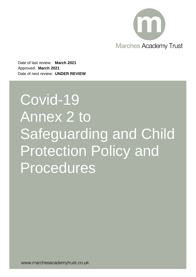

Date of last review: **March 2021** Approved: **March 2021** Date of next review: **UNDER REVIEW**

# Covid-19 Annex 2 to Safeguarding and Child Protection Policy and Procedures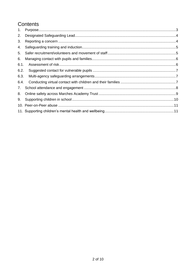## Contents

| 1.   |  |
|------|--|
| 2.   |  |
| 3.   |  |
| 4.   |  |
| 5.   |  |
| 6.   |  |
| 6.1. |  |
| 6.2. |  |
| 6.3. |  |
| 6.4. |  |
| 7.   |  |
| 8.   |  |
| 9.   |  |
| 10.  |  |
| 11.  |  |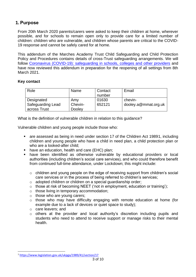## <span id="page-2-0"></span>**1. Purpose**

From 20th March 2020 parents/carers were asked to keep their children at home, wherever possible, and for schools to remain open only to provide care for a limited number of children: children who are vulnerable, and children whose parents are critical to the COVID-19 response and cannot be safely cared for at home.

This addendum of the Marches Academy Trust Child Safeguarding and Child Protection Policy and Procedures contains details of cross-Trust safeguarding arrangements. We will follow [Coronavirus \(COVID-19\): safeguarding in schools, colleges and other providers](https://www.gov.uk/government/publications/covid-19-safeguarding-in-schools-colleges-and-other-providers/coronavirus-covid-19-safeguarding-in-schools-colleges-and-other-providers#staff-training-and-safeguarding-induction) and have now reviewed this addendum in preparation for the reopening of all settings from 8th March 2021.

#### **Key contact**

| Role              | Name    | Contact | Email                |
|-------------------|---------|---------|----------------------|
|                   |         | number  |                      |
| Designated        | Amy     | 01630   | chevin-              |
| Safeguarding Lead | Chevin- | 652121  | dooley.a@mmat.org.uk |
| across Trust      | Dooley  |         |                      |

What is the definition of vulnerable children in relation to this guidance?

Vulnerable children and young people include those who:

- are assessed as being in need under section 17 of the Children Act 19891, including children and young people who have a child in need plan, a child protection plan or who are a looked-after child;
- have an education, health and care (EHC) plan;
- **■** have been identified as otherwise vulnerable by educational providers or local authorities (including children's social care services), and who could therefore benefit from continued full-time attendance, under Lockdown; this might include:
	- o children and young people on the edge of receiving support from children's social care services or in the process of being referred to children's services;
	- o adopted children or children on a special guardianship order;
	- o those at risk of becoming NEET ('not in employment, education or training');
	- o those living in temporary accommodation;
	- o those who are young carers;
	- o those who may have difficulty engaging with remote education at home (for example due to a lack of devices or quiet space to study);
	- o care leavers; and
	- o others at the provider and local authority's discretion including pupils and students who need to attend to receive support or manage risks to their mental health.

<sup>1</sup> <https://www.legislation.gov.uk/ukpga/1989/41/section/17>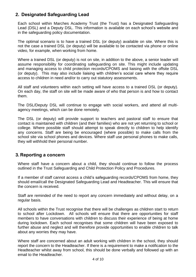## <span id="page-3-0"></span>**2. Designated Safeguarding Lead**

Each school within Marches Academy Trust (the Trust) has a Designated Safeguarding Lead (DSL) and a Deputy DSL. This information is available on each school's website and in the safeguarding policy documentation.

The optimal scenario is to have a trained DSL (or deputy) available on site. Where this is not the case a trained DSL (or deputy) will be available to be contacted via phone or online video, for example, when working from home.

Where a trained DSL (or deputy) is not on site, in addition to the above, a senior leader will assume responsibility for coordinating safeguarding on site. This might include updating and managing access to child protection records/CPOMS and liaising with the offsite DSL (or deputy). This may also include liaising with children's social care where they require access to children in need and/or to carry out statutory assessments.

All staff and volunteers within each setting will have access to a trained DSL (or deputy). On each day, the staff on site will be made aware of who that person is and how to contact them.

The DSL/Deputy DSL will continue to engage with social workers, and attend all multiagency meetings, which can be done remotely.

The DSL (or deputy) will provide support to teachers and pastoral staff to ensure that contact is maintained with children (and their families) who are not yet returning to school or college. Where possible staff should attempt to speak directly to children to help identify any concerns. Staff are being be encouraged (where possible) to make calls from the school site via school phones and devices. Where staff use personal phones to make calls, they will withhold their personal number.

## <span id="page-3-1"></span>**3. Reporting a concern**

Where staff have a concern about a child, they should continue to follow the process outlined in the Trust Safeguarding and Child Protection Policy and Procedures.

If a member of staff cannot access a child's safeguarding records/CPOMS from home, they should email/call the Designated Safeguarding Lead and Headteacher. This will ensure that the concern is received.

Staff are reminded of the need to report any concern immediately and without delay, on a regular basis.

All schools within the Trust recognise that there will be challenges as children start to return to school after Lockdown. All schools will ensure that there are opportunities for staff members to have conversations with children to discuss their experience of being at home during lockdown. Each school recognises that some children will have been exposed to further abuse and neglect and will therefore provide opportunities to enable children to talk about any worries they may have.

Where staff are concerned about an adult working with children in the school, they should report the concern to the Headteacher. If there is a requirement to make a notification to the Headteacher whilst away from school, this should be done verbally and followed up with an email to the Headteacher.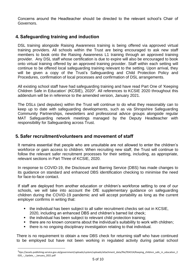Concerns around the Headteacher should be directed to the relevant school's Chair of Governors.

## <span id="page-4-0"></span>**4. Safeguarding training and induction**

DSL training alongside Raising Awareness training is being offered via approved virtual training providers. All schools within the Trust are being encouraged to ask new staff members to book onto the Raising Awareness L1 training through an approved training provider. Any DSL staff whose certification is due to expire will also be encouraged to book onto virtual training offered by an approved training provider. Staff within each setting will continue to be offered local safeguarding training relevant to the setting. Upon arrival, they will be given a copy of the Trust's Safeguarding and Child Protection Policy and Procedures, confirmation of local processes and confirmation of DSL arrangements.

All existing school staff have had safeguarding training and have read Part One of 'Keeping Children Safe in Education' (KCSIE), 2020<sup>2</sup>. All references to KCSIE 2020 throughout this addendum will be in reference to the amended version, January 2021.

The DSLs (and deputies) within the Trust will continue to do what they reasonably can to keep up to date with safeguarding developments, such as via Shropshire Safeguarding Community Partnerships, newsletters and professional advice groups alongside regular MAT Safeguarding network meetings managed by the Deputy Headteacher with responsibility for Safeguarding across Trust.

## <span id="page-4-1"></span>**5. Safer recruitment/volunteers and movement of staff**

It remains essential that people who are unsuitable are not allowed to enter the children's workforce or gain access to children. When recruiting new staff, the Trust will continue to follow the relevant safer recruitment processes for their setting, including, as appropriate, relevant sections in Part Three of KCSIE, 2020.

In response to COVID-19, the Disclosure and Barring Service (DBS) has made changes to its guidance on standard and enhanced DBS identification checking to minimise the need for face-to-face contact.

If staff are deployed from another education or children's workforce setting to one of our schools, we will take into account the DfE supplementary guidance on safeguarding children during the COVID-19 pandemic and will accept portability as long as the current employer confirms in writing that:

- the individual has been subject to all safer recruitment checks set out in KCSIE, 2020, including an enhanced DBS and children's barred list check;
- the individual has been subject to relevant child protection training;
- there are no known concerns about the individual's suitability to work with children;
- there is no ongoing disciplinary investigation relating to that individual.

There is no requirement to obtain a new DBS check for returning staff who have continued to be employed but have not been working in regulated activity during partial school

<sup>2&</sup>lt;br>ttps://assets.publishing.service.gov.uk/government/uploads/system/uploads/attachment\_data/file/954314/Keeping\_children\_safe\_in\_education\_2 020\_-\_Update\_-\_January\_2021.pdf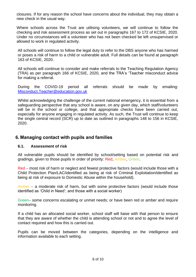closures. If for any reason the school have concerns about the individual, they may obtain a new check in the usual way.

Where schools across the Trust are utilising volunteers, we will continue to follow the checking and risk assessment process as set out in paragraphs 167 to 172 of KCSIE, 2020. Under no circumstances will a volunteer who has not been checked be left unsupervised or allowed to work in regulated activity.

All schools will continue to follow the legal duty to refer to the DBS anyone who has harmed or poses a risk of harm to a child or vulnerable adult. Full details can be found at paragraph 163 of KCSIE, 2020.

All schools will continue to consider and make referrals to the Teaching Regulation Agency (TRA) as per paragraph 166 of KCSIE, 2020, and the TRA's 'Teacher misconduct advice for making a referral.

During the COVID-19 period all referrals should be made by emailing: [Misconduct.Teacher@education.gov.uk](mailto:Misconduct.Teacher@education.gov.uk)

Whilst acknowledging the challenge of the current national emergency, it is essential from a safeguarding perspective that any school is aware, on any given day, which staff/volunteers will be in the school or college, and that appropriate checks have been carried out, especially for anyone engaging in regulated activity. As such, the Trust will continue to keep the single central record (SCR) up to date as outlined in paragraphs 148 to 156 in KCSIE, 2020.

## <span id="page-5-0"></span>**6. Managing contact with pupils and families**

#### <span id="page-5-1"></span>**6.1. Assessment of risk**

All vulnerable pupils should be identified by school/setting based on potential risk and gradings, given to those pupils in order of priority: Red, Amber, Green.

Red – most risk of harm or neglect and fewest protective factors (would include those with a Child Protection Plan/LAC/identified as being at risk of Criminal Exploitation/identified as being at risk of exposure to Domestic Abuse within the household).

Amber – a moderate risk of harm, but with some protective factors (would include those identified as 'Child in Need'; and those with a social worker)

Green– some concerns escalating or unmet needs; or have been red or amber and require monitoring.

If a child has an allocated social worker, school staff will liaise with that person to ensure that they are aware of whether the child is attending school or not and to agree the level of contact required and how this is carried out.

Pupils can be moved between the categories, depending on the intelligence and information available to each setting.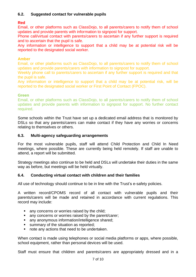#### <span id="page-6-0"></span>**6.2. Suggested contact for vulnerable pupils**

#### **Red**

Email, or other platforms such as ClassDojo, to all parents/carers to notify them of school updates and provide parents with information to signpost for support.

Phone call/virtual contact with parents/carers to ascertain if any further support is required and to ascertain that the pupil is safe.

Any information or intelligence to support that a child may be at potential risk will be reported to the designated social worker.

#### **Amber**

Email, or other platforms such as ClassDojo, to all parents/carers to notify them of school updates and provide parents/carers with information to signpost for support.

Weekly phone call to parents/carers to ascertain if any further support is required and that the pupil is safe.

Any information or intelligence to support that a child may be at potential risk, will be reported to the designated social worker or First Point of Contact (FPOC).

#### **Green**

Email, or other platforms such as ClassDojo, to all parents/carers to notify them of school updates and provide parents with information to signpost for support. No further contact required.

Some schools within the Trust have set up a dedicated email address that is monitored by DSLs so that any parents/carers can make contact if they have any worries or concerns relating to themselves or others.

#### <span id="page-6-1"></span>**6.3. Multi-agency safeguarding arrangements**

For the most vulnerable pupils, staff will attend Child Protection and Child In Need meetings, where possible. These are currently being held remotely. If staff are unable to attend, a report will be submitted.

Strategy meetings also continue to be held and DSLs will undertake their duties in the same way as before, but meetings will be held virtually.

#### <span id="page-6-2"></span>**6.4. Conducting virtual contact with children and their families**

All use of technology should continue to be in line with the Trust's e-safety policies.

A written record/CPOMS record of all contact with vulnerable pupils and their parents/carers will be made and retained in accordance with current regulations. This record may include:

- any concerns or worries raised by the child;
- any concerns or worries raised by the parent/carer;
- any anonymous information/intelligence shared;
- summary of the situation as reported;
- note any actions that need to be undertaken.

When contact is made using telephones or social media platforms or apps, where possible, school equipment, rather than personal devices will be used.

Staff must ensure that children and parents/carers are appropriately dressed and in a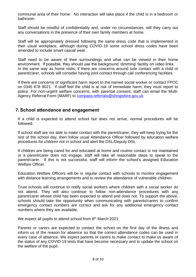communal area of their home. No interaction will take place if the child is in a bedroom or bathroom.

Staff should be mindful of confidentiality and, under no circumstances, will they carry out any conversations in the presence of their own family members at home.

Staff will be appropriately dressed following the same dress code that is implemented in their usual workplace, although during COVID-19 some school dress codes have been amended to include smart casual wear.

Staff need to be aware of their surroundings and what can be viewed in their home environment. If possible, they should use the background 'dimming' facility on video links. In the same way as home visits, if there are concerns around sole contact with a child or parent/carer, schools will consider having joint contact through call conferencing facilities.

If there are concerns of significant harm report to the named social worker or contact FPOC on 0345 678 9021. If staff feel the child is at risk of immediate harm, they must report to police. For non-urgent welfare concerns, with parental consent, staff can email the Multi-Agency Referral Form (MARF) to [compass.referrals@shropshire.gov.uk](mailto:compass.referrals@shropshire.gov.uk)

## <span id="page-7-0"></span>**7. School attendance and engagement**

If a child is expected to attend school but does not arrive, normal procedures will be followed.

If school staff are not able to make contact with the parent/carer, they will keep trying for the rest of the school day, then follow usual Attendance Officer followed by education welfare procedures for children not in school and alert the DSL/Deputy DSL.

If children are being cared for and educated at home and routine contact is not maintained or a parent/carer does not engage, staff will take all reasonable steps to speak to the parent/carer. If this is not successful, staff will inform the school's assigned Education Welfare Officer.

Education Welfare Officers will be in regular contact with schools to monitor engagement with distance learning arrangements and to review the attendance of vulnerable children.

Trust schools will continue to notify social workers where children with a social worker do not attend. They will also continue to follow non-attendance procedures with any parent/carer whose child has been expected to attend and does not. To support the above, schools should take the opportunity when communicating with parents/carers to confirm emergency contact numbers are correct and ask for any additional emergency contact numbers where they are available.

We expect all pupils to attend school from 8<sup>th</sup> March 2021.

Parents or carers are expected to contact the school on the first day of the illness and inform us of the reason for absence so that the correct attendance codes can be used in every case of absence. We expect parents or carers to make contact to make us aware of the status of any COVID-19 tests that have become necessary and to update the school on the welfare of the pupil.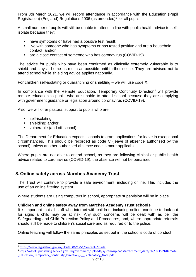From 8th March 2021, we will record attendance in accordance with the Education (Pupil Registration) (England) Regulations 2006 (as amended) $3$  for all pupils.

A small number of pupils will still be unable to attend in line with public health advice to selfisolate because they:

- have symptoms or have had a positive test result;
- live with someone who has symptoms or has tested positive and are a household contact; and/or
- are a close contact of someone who has coronavirus (COVID-19)

The advice for pupils who have been confirmed as clinically extremely vulnerable is to shield and stay at home as much as possible until further notice. They are advised not to attend school while shielding advice applies nationally.

For children self-isolating or quarantining or shielding – we will use code X.

In compliance with the Remote Education, Temporary Continuity Direction<sup>4</sup> will provide remote education to pupils who are unable to attend school because they are complying with government guidance or legislation around coronavirus (COVID-19).

Also, we will offer pastoral support to pupils who are:

- **•** self-isolating;
- shielding; and/or
- vulnerable (and off-school).

The Department for Education expects schools to grant applications for leave in exceptional circumstances. This should be recorded as code C (leave of absence authorised by the school) unless another authorised absence code is more applicable.

Where pupils are not able to attend school, as they are following clinical or public health advice related to coronavirus (COVID-19), the absence will not be penalised.

## <span id="page-8-0"></span>**8. Online safety across Marches Academy Trust**

The Trust will continue to provide a safe environment, including online. This includes the use of an online filtering system.

Where students are using computers in school, appropriate supervision will be in place.

#### **Children and online safety away from Marches Academy Trust schools**

It is important that all staff who interact with children, including online, continue to look out for signs a child may be at risk. Any such concerns will be dealt with as per the Safeguarding and Child Protection Policy and Procedures, and, where appropriate referrals should still be made to children's social care and as required or to the police.

Online teaching will follow the same principles as set out in the school's code of conduct.

<sup>3</sup> <https://www.legislation.gov.uk/uksi/2006/1751/contents/made>

<sup>4</sup>[https://assets.publishing.service.gov.uk/government/uploads/system/uploads/attachment\\_data/file/923539/Remote](https://assets.publishing.service.gov.uk/government/uploads/system/uploads/attachment_data/file/923539/Remote_Education_Temporary_Continuity_Direction_-__Explanatory_Note.pdf) [\\_Education\\_Temporary\\_Continuity\\_Direction\\_-\\_\\_Explanatory\\_Note.pdf](https://assets.publishing.service.gov.uk/government/uploads/system/uploads/attachment_data/file/923539/Remote_Education_Temporary_Continuity_Direction_-__Explanatory_Note.pdf)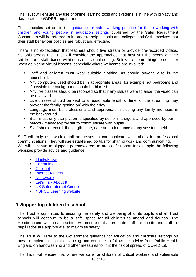The Trust will ensure any use of online learning tools and systems is in line with privacy and data protection/GDPR requirements.

The principles set out in the [guidance for safer working practice for those working with](https://www.saferrecruitmentconsortium.org/)  [children and young people in education settings](https://www.saferrecruitmentconsortium.org/) published by the Safer Recruitment Consortium will be referred to in order to help schools and colleges satisfy themselves that their staff behaviour policies are robust and effective.

There is no expectation that teachers should live stream or provide pre-recorded videos. Schools across the Trust will consider the approaches that best suit the needs of their children and staff, based within each individual setting. Below are some things to consider when delivering virtual lessons, especially where webcams are involved:

- Staff and children must wear suitable clothing, as should anyone else in the household.
- Any computers used should be in appropriate areas, for example not bedrooms and if possible the background should be blurred.
- Any live classes should be recorded so that if any issues were to arise, the video can be reviewed.
- Live classes should be kept to a reasonable length of time, or the streaming may prevent the family 'getting on' with their day.
- **EXEDEE MUST Language must be professional and appropriate, including any family members in** the background.
- Staff must only use platforms specified by senior managers and approved by our IT network manager/provider to communicate with pupils.
- Staff should record, the length, time, date and attendance of any sessions held.

Staff will only use work email addresses to communicate with others for professional communications. They will use established portals for sharing work and communicating. We will continue to signpost parents/carers to areas of support for example the following websites provide advice and guidance.

- [Thinkuknow](http://www.thinkuknow.co.uk/)
- [Parent info](https://parentinfo.org/)
- [Childnet](https://www.childnet.com/parents-and-carers/parent-and-carer-toolkit)
- [Internet Matters](https://www.internetmatters.org/?gclid=EAIaIQobChMIktuA5LWK2wIVRYXVCh2afg2aEAAYASAAEgIJ5vD_BwE)
- [Net-aware](https://www.net-aware.org.uk/)
- **Executed [Let's Talk About It](https://www.ltai.info/staying-safe-online/)**
- **E** [UK Safer Internet Centre](https://www.saferinternet.org.uk/advice-centre/parents-and-carers)
- **I[NSPCC Learning website.](https://learning.nspcc.org.uk/)**

## <span id="page-9-0"></span>**9. Supporting children in school**

The Trust is committed to ensuring the safety and wellbeing of all its pupils and all Trust schools will continue to be a safe space for all children to attend and flourish. The Headteachers within each setting will ensure that appropriate staff are on site and staff-topupil ratios are appropriate, to maximise safety.

The Trust will refer to the Government guidance for education and childcare settings on how to implement social distancing and continue to follow the advice from Public Health England on handwashing and other measures to limit the risk of spread of COVID-19.

The Trust will ensure that where we care for children of critical workers and vulnerable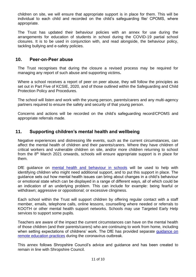children on site, we will ensure that appropriate support is in place for them. This will be individual to each child and recorded on the child's safeguarding file/ CPOMS, where appropriate.

The Trust has updated their behaviour policies with an annex for use during the arrangements for education of students in school during the COVID-19 partial school closures. It is to be used in conjunction with, and read alongside, the behaviour policy, tackling bullying and e-safety policies.

#### <span id="page-10-0"></span>**10. Peer-on-Peer abuse**

The Trust recognises that during the closure a revised process may be required for managing any report of such abuse and supporting victims**.** 

Where a school receives a report of peer on peer abuse, they will follow the principles as set out in Part Five of KCSIE, 2020, and of those outlined within the Safeguarding and Child Protection Policy and Procedures.

The school will listen and work with the young person, parents/carers and any multi-agency partners required to ensure the safety and security of that young person.

Concerns and actions will be recorded on the child's safeguarding record/CPOMS and appropriate referrals made.

## <span id="page-10-1"></span>**11. Supporting children's mental health and wellbeing**

Negative experiences and distressing life events, such as the current circumstances, can affect the mental health of children and their parents/carers. Where they have children of critical workers and vulnerable children on site, and/or more children returning to school from the 8<sup>th</sup> March 2021 onwards, schools will ensure appropriate support is in place for them.

DfE quidance on [mental health and behaviour in schools](https://www.gov.uk/government/publications/mental-health-and-behaviour-in-schools--2) will be used to help with identifying children who might need additional support, and to put this support in place. The guidance sets out how mental health issues can bring about changes in a child's behaviour or emotional state which can be displayed in a range of different ways, all of which could be an indication of an underlying problem. This can include for example: being fearful or withdrawn; aggressive or oppositional; or excessive clinginess.

Each school within the Trust will support children by offering regular contact with a staff member, emails, telephone calls, online lessons, counselling where needed or referrals to KOOTH or other mental health support networks. Schools may use Targeted Early Help services to support some pupils.

Teachers are aware of the impact the current circumstances can have on the mental health of those children (and their parents/carers) who are continuing to work from home, including when setting expectations of childrens' work. The DfE has provided separate guidance on [remote education practices](https://www.gov.uk/guidance/remote-education-practice-for-schools-during-coronavirus-covid-19) during the coronavirus outbreak.

This annex follows Shropshire Council's advice and guidance and has been created to remain in line with Shropshire Council.